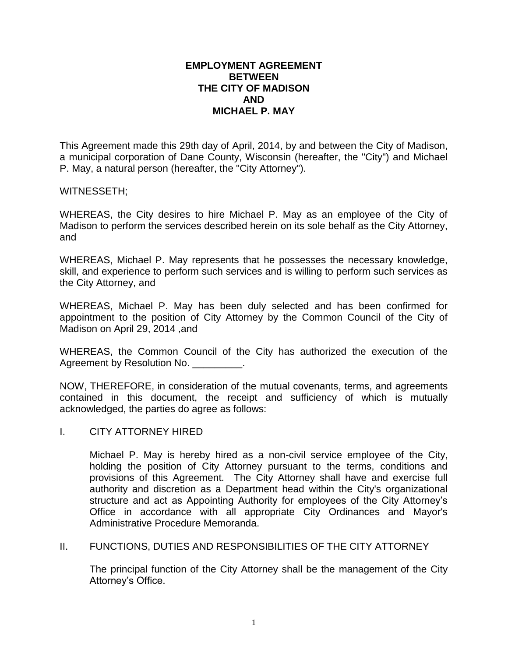# **EMPLOYMENT AGREEMENT BETWEEN THE CITY OF MADISON AND MICHAEL P. MAY**

This Agreement made this 29th day of April, 2014, by and between the City of Madison, a municipal corporation of Dane County, Wisconsin (hereafter, the "City") and Michael P. May, a natural person (hereafter, the "City Attorney").

## WITNESSETH;

WHEREAS, the City desires to hire Michael P. May as an employee of the City of Madison to perform the services described herein on its sole behalf as the City Attorney, and

WHEREAS, Michael P. May represents that he possesses the necessary knowledge, skill, and experience to perform such services and is willing to perform such services as the City Attorney, and

WHEREAS, Michael P. May has been duly selected and has been confirmed for appointment to the position of City Attorney by the Common Council of the City of Madison on April 29, 2014 ,and

WHEREAS, the Common Council of the City has authorized the execution of the Agreement by Resolution No. \_\_\_\_\_\_\_\_\_.

NOW, THEREFORE, in consideration of the mutual covenants, terms, and agreements contained in this document, the receipt and sufficiency of which is mutually acknowledged, the parties do agree as follows:

I. CITY ATTORNEY HIRED

Michael P. May is hereby hired as a non-civil service employee of the City, holding the position of City Attorney pursuant to the terms, conditions and provisions of this Agreement. The City Attorney shall have and exercise full authority and discretion as a Department head within the City's organizational structure and act as Appointing Authority for employees of the City Attorney's Office in accordance with all appropriate City Ordinances and Mayor's Administrative Procedure Memoranda.

# II. FUNCTIONS, DUTIES AND RESPONSIBILITIES OF THE CITY ATTORNEY

The principal function of the City Attorney shall be the management of the City Attorney's Office.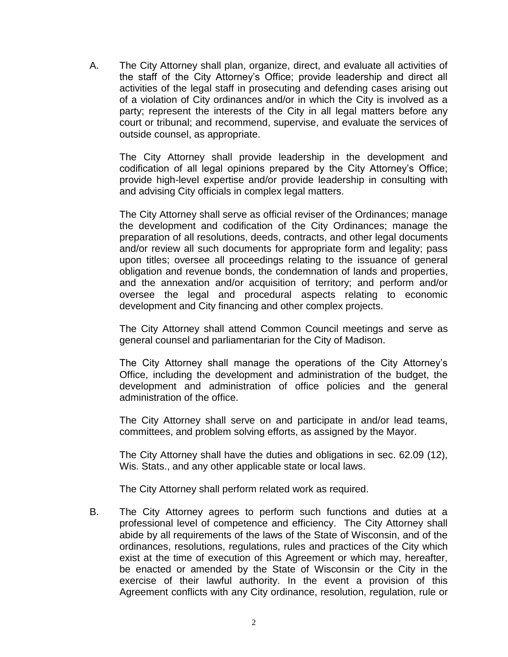A. The City Attorney shall plan, organize, direct, and evaluate all activities of the staff of the City Attorney's Office; provide leadership and direct all activities of the legal staff in prosecuting and defending cases arising out of a violation of City ordinances and/or in which the City is involved as a party; represent the interests of the City in all legal matters before any court or tribunal; and recommend, supervise, and evaluate the services of outside counsel, as appropriate.

The City Attorney shall provide leadership in the development and codification of all legal opinions prepared by the City Attorney's Office; provide high-level expertise and/or provide leadership in consulting with and advising City officials in complex legal matters.

The City Attorney shall serve as official reviser of the Ordinances; manage the development and codification of the City Ordinances; manage the preparation of all resolutions, deeds, contracts, and other legal documents and/or review all such documents for appropriate form and legality; pass upon titles; oversee all proceedings relating to the issuance of general obligation and revenue bonds, the condemnation of lands and properties, and the annexation and/or acquisition of territory; and perform and/or oversee the legal and procedural aspects relating to economic development and City financing and other complex projects.

The City Attorney shall attend Common Council meetings and serve as general counsel and parliamentarian for the City of Madison.

The City Attorney shall manage the operations of the City Attorney's Office, including the development and administration of the budget, the development and administration of office policies and the general administration of the office.

The City Attorney shall serve on and participate in and/or lead teams, committees, and problem solving efforts, as assigned by the Mayor.

The City Attorney shall have the duties and obligations in sec. 62.09 (12), Wis. Stats., and any other applicable state or local laws.

The City Attorney shall perform related work as required.

B. The City Attorney agrees to perform such functions and duties at a professional level of competence and efficiency. The City Attorney shall abide by all requirements of the laws of the State of Wisconsin, and of the ordinances, resolutions, regulations, rules and practices of the City which exist at the time of execution of this Agreement or which may, hereafter, be enacted or amended by the State of Wisconsin or the City in the exercise of their lawful authority. In the event a provision of this Agreement conflicts with any City ordinance, resolution, regulation, rule or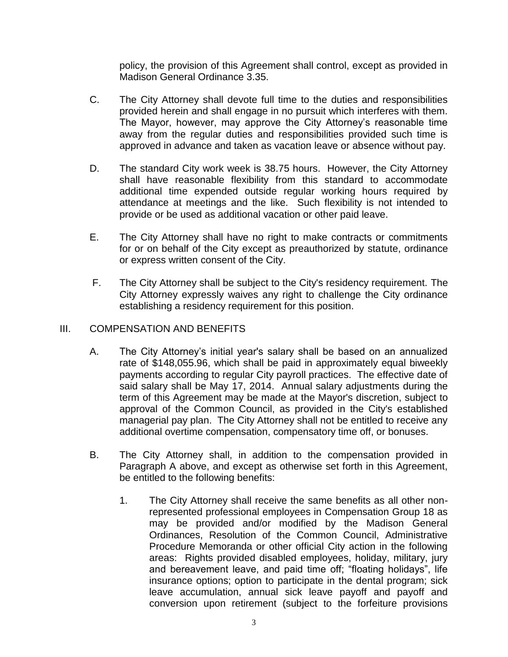policy, the provision of this Agreement shall control, except as provided in Madison General Ordinance 3.35.

- C. The City Attorney shall devote full time to the duties and responsibilities provided herein and shall engage in no pursuit which interferes with them. The Mayor, however, may approve the City Attorney's reasonable time away from the regular duties and responsibilities provided such time is approved in advance and taken as vacation leave or absence without pay.
- D. The standard City work week is 38.75 hours. However, the City Attorney shall have reasonable flexibility from this standard to accommodate additional time expended outside regular working hours required by attendance at meetings and the like. Such flexibility is not intended to provide or be used as additional vacation or other paid leave.
- E. The City Attorney shall have no right to make contracts or commitments for or on behalf of the City except as preauthorized by statute, ordinance or express written consent of the City.
- F. The City Attorney shall be subject to the City's residency requirement. The City Attorney expressly waives any right to challenge the City ordinance establishing a residency requirement for this position.

# III. COMPENSATION AND BENEFITS

- A. The City Attorney's initial year's salary shall be based on an annualized rate of \$148,055.96, which shall be paid in approximately equal biweekly payments according to regular City payroll practices. The effective date of said salary shall be May 17, 2014. Annual salary adjustments during the term of this Agreement may be made at the Mayor's discretion, subject to approval of the Common Council, as provided in the City's established managerial pay plan. The City Attorney shall not be entitled to receive any additional overtime compensation, compensatory time off, or bonuses.
- B. The City Attorney shall, in addition to the compensation provided in Paragraph A above, and except as otherwise set forth in this Agreement, be entitled to the following benefits:
	- 1. The City Attorney shall receive the same benefits as all other nonrepresented professional employees in Compensation Group 18 as may be provided and/or modified by the Madison General Ordinances, Resolution of the Common Council, Administrative Procedure Memoranda or other official City action in the following areas: Rights provided disabled employees, holiday, military, jury and bereavement leave, and paid time off; "floating holidays", life insurance options; option to participate in the dental program; sick leave accumulation, annual sick leave payoff and payoff and conversion upon retirement (subject to the forfeiture provisions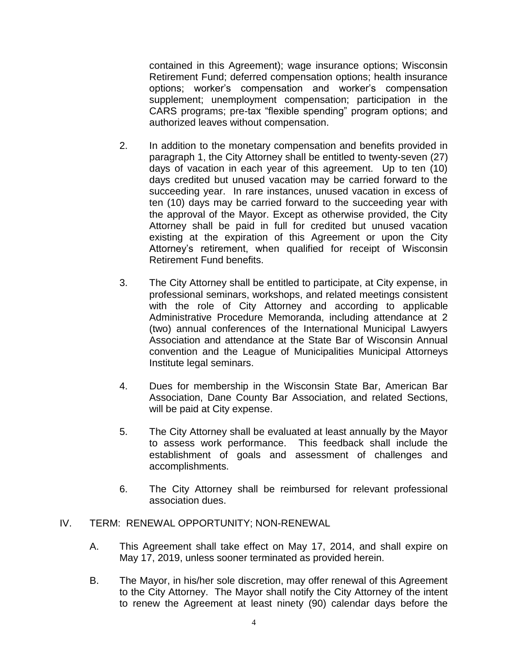contained in this Agreement); wage insurance options; Wisconsin Retirement Fund; deferred compensation options; health insurance options; worker's compensation and worker's compensation supplement; unemployment compensation; participation in the CARS programs; pre-tax "flexible spending" program options; and authorized leaves without compensation.

- 2. In addition to the monetary compensation and benefits provided in paragraph 1, the City Attorney shall be entitled to twenty-seven (27) days of vacation in each year of this agreement. Up to ten (10) days credited but unused vacation may be carried forward to the succeeding year. In rare instances, unused vacation in excess of ten (10) days may be carried forward to the succeeding year with the approval of the Mayor. Except as otherwise provided, the City Attorney shall be paid in full for credited but unused vacation existing at the expiration of this Agreement or upon the City Attorney's retirement, when qualified for receipt of Wisconsin Retirement Fund benefits.
- 3. The City Attorney shall be entitled to participate, at City expense, in professional seminars, workshops, and related meetings consistent with the role of City Attorney and according to applicable Administrative Procedure Memoranda, including attendance at 2 (two) annual conferences of the International Municipal Lawyers Association and attendance at the State Bar of Wisconsin Annual convention and the League of Municipalities Municipal Attorneys Institute legal seminars.
- 4. Dues for membership in the Wisconsin State Bar, American Bar Association, Dane County Bar Association, and related Sections, will be paid at City expense.
- 5. The City Attorney shall be evaluated at least annually by the Mayor to assess work performance. This feedback shall include the establishment of goals and assessment of challenges and accomplishments.
- 6. The City Attorney shall be reimbursed for relevant professional association dues.
- IV. TERM: RENEWAL OPPORTUNITY; NON-RENEWAL
	- A. This Agreement shall take effect on May 17, 2014, and shall expire on May 17, 2019, unless sooner terminated as provided herein.
	- B. The Mayor, in his/her sole discretion, may offer renewal of this Agreement to the City Attorney. The Mayor shall notify the City Attorney of the intent to renew the Agreement at least ninety (90) calendar days before the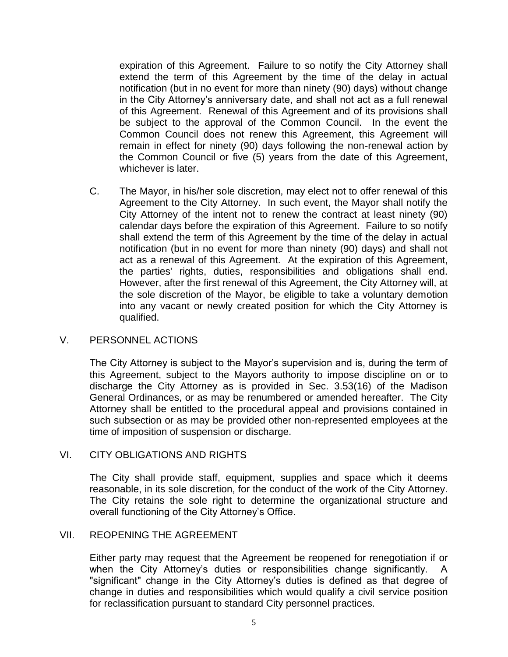expiration of this Agreement. Failure to so notify the City Attorney shall extend the term of this Agreement by the time of the delay in actual notification (but in no event for more than ninety (90) days) without change in the City Attorney's anniversary date, and shall not act as a full renewal of this Agreement. Renewal of this Agreement and of its provisions shall be subject to the approval of the Common Council. In the event the Common Council does not renew this Agreement, this Agreement will remain in effect for ninety (90) days following the non-renewal action by the Common Council or five (5) years from the date of this Agreement, whichever is later.

C. The Mayor, in his/her sole discretion, may elect not to offer renewal of this Agreement to the City Attorney. In such event, the Mayor shall notify the City Attorney of the intent not to renew the contract at least ninety (90) calendar days before the expiration of this Agreement. Failure to so notify shall extend the term of this Agreement by the time of the delay in actual notification (but in no event for more than ninety (90) days) and shall not act as a renewal of this Agreement. At the expiration of this Agreement, the parties' rights, duties, responsibilities and obligations shall end. However, after the first renewal of this Agreement, the City Attorney will, at the sole discretion of the Mayor, be eligible to take a voluntary demotion into any vacant or newly created position for which the City Attorney is qualified.

# V. PERSONNEL ACTIONS

The City Attorney is subject to the Mayor's supervision and is, during the term of this Agreement, subject to the Mayors authority to impose discipline on or to discharge the City Attorney as is provided in Sec. 3.53(16) of the Madison General Ordinances, or as may be renumbered or amended hereafter. The City Attorney shall be entitled to the procedural appeal and provisions contained in such subsection or as may be provided other non-represented employees at the time of imposition of suspension or discharge.

# VI. CITY OBLIGATIONS AND RIGHTS

The City shall provide staff, equipment, supplies and space which it deems reasonable, in its sole discretion, for the conduct of the work of the City Attorney. The City retains the sole right to determine the organizational structure and overall functioning of the City Attorney's Office.

# VII. REOPENING THE AGREEMENT

Either party may request that the Agreement be reopened for renegotiation if or when the City Attorney's duties or responsibilities change significantly. A "significant" change in the City Attorney's duties is defined as that degree of change in duties and responsibilities which would qualify a civil service position for reclassification pursuant to standard City personnel practices.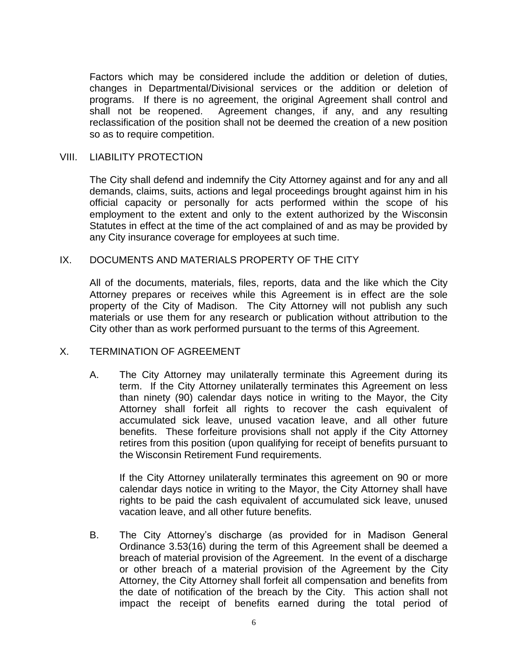Factors which may be considered include the addition or deletion of duties, changes in Departmental/Divisional services or the addition or deletion of programs. If there is no agreement, the original Agreement shall control and shall not be reopened. Agreement changes, if any, and any resulting reclassification of the position shall not be deemed the creation of a new position so as to require competition.

## VIII. LIABILITY PROTECTION

The City shall defend and indemnify the City Attorney against and for any and all demands, claims, suits, actions and legal proceedings brought against him in his official capacity or personally for acts performed within the scope of his employment to the extent and only to the extent authorized by the Wisconsin Statutes in effect at the time of the act complained of and as may be provided by any City insurance coverage for employees at such time.

### IX. DOCUMENTS AND MATERIALS PROPERTY OF THE CITY

All of the documents, materials, files, reports, data and the like which the City Attorney prepares or receives while this Agreement is in effect are the sole property of the City of Madison. The City Attorney will not publish any such materials or use them for any research or publication without attribution to the City other than as work performed pursuant to the terms of this Agreement.

### X. TERMINATION OF AGREEMENT

A. The City Attorney may unilaterally terminate this Agreement during its term. If the City Attorney unilaterally terminates this Agreement on less than ninety (90) calendar days notice in writing to the Mayor, the City Attorney shall forfeit all rights to recover the cash equivalent of accumulated sick leave, unused vacation leave, and all other future benefits. These forfeiture provisions shall not apply if the City Attorney retires from this position (upon qualifying for receipt of benefits pursuant to the Wisconsin Retirement Fund requirements.

If the City Attorney unilaterally terminates this agreement on 90 or more calendar days notice in writing to the Mayor, the City Attorney shall have rights to be paid the cash equivalent of accumulated sick leave, unused vacation leave, and all other future benefits.

B. The City Attorney's discharge (as provided for in Madison General Ordinance 3.53(16) during the term of this Agreement shall be deemed a breach of material provision of the Agreement. In the event of a discharge or other breach of a material provision of the Agreement by the City Attorney, the City Attorney shall forfeit all compensation and benefits from the date of notification of the breach by the City. This action shall not impact the receipt of benefits earned during the total period of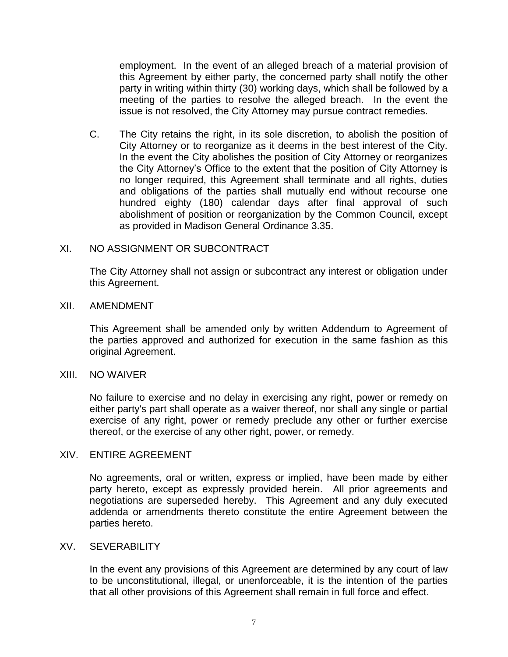employment. In the event of an alleged breach of a material provision of this Agreement by either party, the concerned party shall notify the other party in writing within thirty (30) working days, which shall be followed by a meeting of the parties to resolve the alleged breach. In the event the issue is not resolved, the City Attorney may pursue contract remedies.

C. The City retains the right, in its sole discretion, to abolish the position of City Attorney or to reorganize as it deems in the best interest of the City. In the event the City abolishes the position of City Attorney or reorganizes the City Attorney's Office to the extent that the position of City Attorney is no longer required, this Agreement shall terminate and all rights, duties and obligations of the parties shall mutually end without recourse one hundred eighty (180) calendar days after final approval of such abolishment of position or reorganization by the Common Council, except as provided in Madison General Ordinance 3.35.

### XI. NO ASSIGNMENT OR SUBCONTRACT

The City Attorney shall not assign or subcontract any interest or obligation under this Agreement.

### XII. AMENDMENT

This Agreement shall be amended only by written Addendum to Agreement of the parties approved and authorized for execution in the same fashion as this original Agreement.

### XIII. NO WAIVER

No failure to exercise and no delay in exercising any right, power or remedy on either party's part shall operate as a waiver thereof, nor shall any single or partial exercise of any right, power or remedy preclude any other or further exercise thereof, or the exercise of any other right, power, or remedy.

### XIV. ENTIRE AGREEMENT

No agreements, oral or written, express or implied, have been made by either party hereto, except as expressly provided herein. All prior agreements and negotiations are superseded hereby. This Agreement and any duly executed addenda or amendments thereto constitute the entire Agreement between the parties hereto.

### XV. SEVERABILITY

In the event any provisions of this Agreement are determined by any court of law to be unconstitutional, illegal, or unenforceable, it is the intention of the parties that all other provisions of this Agreement shall remain in full force and effect.